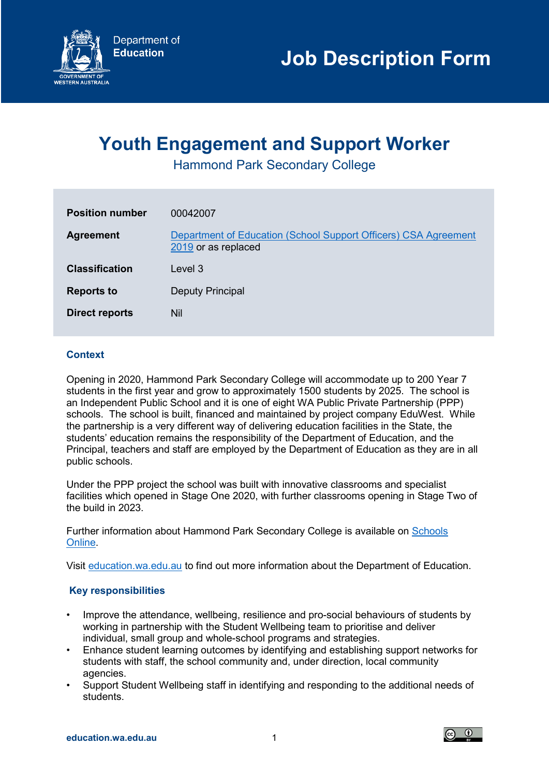

# **Youth Engagement and Support Worker**

Hammond Park Secondary College

| <b>Position number</b> | 00042007                                                                               |
|------------------------|----------------------------------------------------------------------------------------|
| <b>Agreement</b>       | Department of Education (School Support Officers) CSA Agreement<br>2019 or as replaced |
| <b>Classification</b>  | Level 3                                                                                |
| <b>Reports to</b>      | Deputy Principal                                                                       |
| Direct reports         | Nil                                                                                    |

## **Context**

Opening in 2020, Hammond Park Secondary College will accommodate up to 200 Year 7 students in the first year and grow to approximately 1500 students by 2025. The school is an Independent Public School and it is one of eight WA Public Private Partnership (PPP) schools. The school is built, financed and maintained by project company EduWest. While the partnership is a very different way of delivering education facilities in the State, the students' education remains the responsibility of the Department of Education, and the Principal, teachers and staff are employed by the Department of Education as they are in all public schools.

Under the PPP project the school was built with innovative classrooms and specialist facilities which opened in Stage One 2020, with further classrooms opening in Stage Two of the build in 2023.

Further information about Hammond Park Secondary College is available on [Schools](https://www.det.wa.edu.au/schoolsonline/home.do)  [Online.](https://www.det.wa.edu.au/schoolsonline/home.do)

Visit [education.wa.edu.au](https://www.education.wa.edu.au/home) to find out more information about the Department of Education.

## **Key responsibilities**

- Improve the attendance, wellbeing, resilience and pro-social behaviours of students by working in partnership with the Student Wellbeing team to prioritise and deliver individual, small group and whole-school programs and strategies.
- Enhance student learning outcomes by identifying and establishing support networks for students with staff, the school community and, under direction, local community agencies.
- Support Student Wellbeing staff in identifying and responding to the additional needs of students.